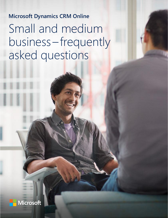# **Microsoft Dynamics CRM Online** Small and medium business– frequently asked questions

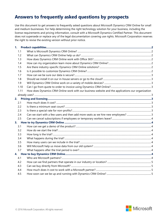# **Answers to frequently asked questions by prospects**

Use this document to get answers to frequently asked questions about Microsoft Dynamics CRM Online for small and medium businesses. For help determining the right technology solution for your business, including the license requirements and pricing information, consult with a Microsoft Dynamics Certified Partner. This document does not supersede or replace any of the legal documentation covering use rights. Microsoft Corporation reserves the right to revise the existing version without prior notice.

| 1.1  |                                                                                                   |  |
|------|---------------------------------------------------------------------------------------------------|--|
| 1.2  |                                                                                                   |  |
| 1.3  |                                                                                                   |  |
| 1.4  |                                                                                                   |  |
| 1.5  |                                                                                                   |  |
| 1.6  |                                                                                                   |  |
| 1.7  |                                                                                                   |  |
| 1.8  |                                                                                                   |  |
| 1.9  |                                                                                                   |  |
| 1.10 |                                                                                                   |  |
| 1.11 | How does Dynamics CRM Online work with our business website and the applications our organization |  |
|      |                                                                                                   |  |
|      |                                                                                                   |  |
| 2.1  |                                                                                                   |  |
| 2.2  |                                                                                                   |  |
| 2.3  |                                                                                                   |  |
| 2.4  |                                                                                                   |  |
| 2.5  |                                                                                                   |  |
|      |                                                                                                   |  |
| 3.1  |                                                                                                   |  |
| 3.2  |                                                                                                   |  |
| 3.3  |                                                                                                   |  |
| 3.4  |                                                                                                   |  |
| 3.5  |                                                                                                   |  |
| 3.6  |                                                                                                   |  |
| 3.7  |                                                                                                   |  |
|      |                                                                                                   |  |
| 4.1  |                                                                                                   |  |
| 4.2  |                                                                                                   |  |
| 4.3  |                                                                                                   |  |
| 4.4  |                                                                                                   |  |
| 4.5  |                                                                                                   |  |

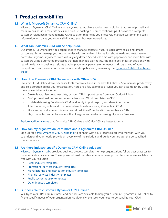# <span id="page-2-0"></span>**1. Product capabilities**

# <span id="page-2-1"></span>**1.1 What is Microsoft Dynamics CRM Online?**

Microsoft Dynamics CRM Online is an easy-to-use, mobile-ready business solution that can help small and medium businesses accelerate sales and nurture existing customer relationships. It provides a complete customer relationship management (CRM) solution that helps you effectively manage customer and sales information and gives you more visibility into your business operations.

## <span id="page-2-2"></span>**1.2 What can Dynamics CRM Online help us do?**

Dynamics CRM Online provides capabilities to manage contacts, nurture leads, drive sales, and amaze customers. Better manage your opportunities with centralized information about leads and customers accessible anytime, anywhere, from virtually any device. Spend less time with paperwork and more time with customers using automated processes that help manage daily tasks. And make better, faster decisions with real-time data and business insights that help you anticipate customer needs and stay ahead of your competition. Learn more about new features and capabilities by reviewing the Dynamics CRM Online basics [guide.](http://go.microsoft.com/fwlink/p/?LinkID=512927)

## <span id="page-2-3"></span>**1.3 How does Dynamics CRM Online work with Office 365?**

Dynamics CRM Online delivers familiar tools that work hand-in-hand with Office 365 to increase productivity and collaboration across your organization. Here are a few examples of what you can accomplish by using these powerful tools together:

- Create leads, view customer data, or open CRM support cases from your Outlook inbox.
- Craft professional quotes and sales orders using Word templates in CRM.
- Update data using Excel inside CRM, and easily import, export, and share information.
- Attach meeting notes and customer interaction details using OneNote in CRM.
- Store and sync documents in one centralized SharePoint location accessible via CRM.
- Stay connected and collaborate with colleagues and customers using Skype for Business.

[Explore additional ways](http://download.microsoft.com/documents/en-us/dynamics/Microsoft%20Dynamics%20CRM%20Online%20and%20Office%20365_Better%20Together_v2.pdf) that Dynamics CRM Online and Office 365 are better together.

## <span id="page-2-4"></span>**1.4 How can my organization learn more about Dynamics CRM Online?**

Sign up for a [free Dynamics CRM Online trial](https://www.microsoft.com/en-us/dynamics/crm-concierge) to connect with a Microsoft expert who will work with you to understand your needs, provide an overview of the solution, and guide you through the personalized trial experience.

## <span id="page-2-5"></span>**1.5 Are there industry-specific Dynamics CRM Online solutions?**

[Microsoft Dynamics Labs](http://pinpoint.microsoft.com/Companies/4297440805) provides business process templates to help organizations follow best practices for common industry scenarios. These powerful, customizable, community-supported templates are available for free with your solution.

- [Retail industry templates](https://www.microsoft.com/en-us/dynamics/retail-templates)
- [Professional services industry templates](https://www.microsoft.com/en-us/dynamics/professional-services-templates)
- [Manufacturing and distribution industry templates](https://www.microsoft.com/en-us/dynamics/manufacturing-distribution-templates)
- [Financial services industry templates](https://www.microsoft.com/en-us/dynamics/financial-services-templates)
- [Public sector industry templates](https://www.microsoft.com/en-us/dynamics/public-sector-templates)
- [Other industry templates](https://www.microsoft.com/en-us/dynamics/other-templates)

## <span id="page-2-6"></span>**1.6 Is it possible to customize Dynamics CRM Online?**

Yes. Dynamics CRM administrators and partners are available to help you customize Dynamics CRM Online to fit the specific needs of your organization. Additionally, the tools you need to personalize your CRM

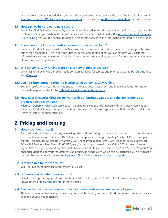experience are already included, so you can adapt your solution as your needs grow. Watch this video for 6 [ways to customize CRM \(without writing any code\)](https://www.youtube.com/watch?v=SycOC_eVBY4) and review the [product documentation](https://technet.microsoft.com/en-us/library/dn531158.aspx) for more details.

#### <span id="page-3-0"></span>**1.7 How can we be sure our data is secure?**

Dynamics CRM Online is powered by the security-enhanced, enterprise-grade Microsoft cloud, so you can be confident that all your data is stored with advanced protection. Additionally, the security model of Dynamics [CRM Online](https://msdn.microsoft.com/en-us/library/gg309524.aspx) gives you the control to assign users specific access to the information required to do their jobs.

#### <span id="page-3-1"></span>**1.8 Should we install it on our in-house servers or go to the cloud?**

Dynamics CRM Online powered by the Microsoft cloud frees up your staff to focus on running your business rather than managing IT. With all your CRM resources accessible online, you can retrieve your customer information, sales and marketing analytics, service records, or anything you need for customer management, at any time, from any device.

#### <span id="page-3-2"></span>**1.9 Will Dynamics CRM Online work on a variety of mobile devices?**

Dynamics CRM Online is a mobile-ready solution available for tablets and phones powered by [iOS,](https://itunes.apple.com/us/app/microsoft-dynamics-crm/id678800460?mt=8) [Android,](https://play.google.com/store/apps/details?id=com.microsoft.crm.crmphone)  and [Windows.](https://www.microsoft.com/en-us/store/apps/microsoft-dynamics-crm/9wzdncrfjbcm)

#### <span id="page-3-3"></span>**1.10 Can I go from quote to order to invoice using Dynamics CRM Online?**

Yes. Microsoft Dynamics CRM Online supports robust quote, sales order, and invoice building. For more information, please refer to the [detailed product documentation page.](https://msdn.microsoft.com/en-us/library/gg328015.aspx)

## <span id="page-3-4"></span>**1.11 How does Dynamics CRM Online work with our business website and the applications our organization already uses?**

[Microsoft Dynamics CRM web services](https://msdn.microsoft.com/en-us/library/mt608128.aspx) can be used to exchange information with third-party applications. Dynamics CRM Online also supports single sign-on with cloud-based applications that use Microsoft Azure Active Directory for authentication.

# <span id="page-3-5"></span>**2. Pricing and licensing**

#### <span id="page-3-6"></span>**2.1 How much does it cost?**

For small and medium businesses, increasing sales and delighting customers can cost less than the price of a cup of coffee a day. A complete CRM solution subscription costs approximately \$62.60 USD per user, per month. This includes Microsoft Dynamics CRM Online Professional (\$50 USD/user/month) plus Microsoft Office 365 Business Premium (\$12.60 USD/user/month). If you already have Office 365 Business Premium or higher SKU then you can add on Microsoft Dynamics CRM Online Professional for \$50 USD/user/month. Your final price depends on your requirements and business needs, all of which can be discussed with a Microsoft partner. For more details, review the [Dynamics CRM Online licensing and pricing guide.](http://aka.ms/gtn5wt)

#### <span id="page-3-7"></span>**2.2 Is there a minimum seat count?**

Yes. The minimum purchase requirement is five seats.

#### <span id="page-3-8"></span>**2.3 Is there a special rate for non-profits?**

Qualified non-profit organizations can obtain a Microsoft Dynamics CRM Online license at non-profit pricing. Please refer to **Non-profit pricing** for more details.

#### <span id="page-3-9"></span>**2.4 Can we start with a few users and then add more seats as we hire new employees?**

There is a minimum five-seat purchase requirement, however you can easily add more users as your business expands or your needs change.

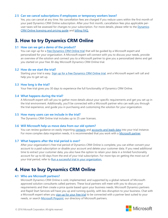#### <span id="page-4-0"></span>**2.5 Can we cancel subscriptions if employees or temporary workers leave?**

Yes, you can cancel at any time. No cancellation fees are charged if you reduce users within the first month of your paid Dynamics CRM Online subscription. After your first month, cancellation fees plus applicable peruser taxes will be assessed for changes to your subscription. For more details, please refer to the Dynamics [CRM Online licensing and pricing guide](http://aka.ms/gtn5wt) and [billing FAQ.](https://www.microsoft.com/en-us/dynamics/crm-customer-center/billing-faqs-for-crm-online.aspx)

# <span id="page-4-1"></span>**3. How to try Dynamics CRM Online**

#### <span id="page-4-2"></span>**3.1 How can we get a demo of the product?**

You can sign up for a *free Dynamics CRM Online trial* that will be guided by a Microsoft expert and personalized for your organization. A Microsoft expert will connect with you to discuss your needs, provide an overview of the solution and connect you to a Microsoft partner to give you a personalized demo and get you started on your free 30-day Microsoft Dynamics CRM Online trial.

#### <span id="page-4-3"></span>**3.2 How do we start the trial?**

Starting your trial is easy. [Sign up for a free Dynamics CRM Online trial,](https://www.microsoft.com/en-us/dynamics/crm-concierge) and a Microsoft expert will call and help you to get set up.

#### <span id="page-4-4"></span>**3.3 How long is the trial?**

Your free trial gives you 30 days to experience the full functionality of Dynamics CRM Online.

#### <span id="page-4-5"></span>**3.4 What happens during the trial?**

A Microsoft expert will call you to gather more details about your specific requirements and get you set up in the trial environment. Additionally, you'll be connected with a Microsoft partner who can walk you through the trial experience, and guide you in purchasing and customizing the solution for your organization.

#### <span id="page-4-6"></span>**3.5 How many users can we include in the trial?**

The Dynamics CRM Online trial includes up to 25 user licenses.

#### <span id="page-4-7"></span>**3.6 Will Microsoft help us move data from our old system?**

You can review guidance on easily importing [contacts](https://www.microsoft.com/en-us/dynamics/crm-customer-center/import-contacts.aspx) and [accounts and leads data](https://www.microsoft.com/en-us/dynamics/crm-customer-center/import-accounts-leads-or-other-data.aspx) into your trial instance. For more complex data migration needs, it is recommended that you work with a [Microsoft partner.](https://pinpoint.microsoft.com/search?keyword=crm&type=companies)

#### <span id="page-4-8"></span>**3.7 What happens after the trial period is over?**

After your organization's free trial period of Dynamics CRM Online is complete, you can either convert your account to a paid subscription or disable your account and delete your customer data. If you need additional time to extract your customer data, you also have the option to retain your data in a limited functionality account for up to 60 days from the end of your trial subscription. For more tips on getting the most out of your trial period, refer to [Run a successful trial in your organization.](https://mbs.microsoft.com/customersource/northamerica/CRM/learning/documentation/TryBuyCRMOnlineOnboardingSuccessCenter)

# <span id="page-4-9"></span>**4. How to buy Dynamics CRM Online**

#### <span id="page-4-10"></span>**4.1 Who are Microsoft partners?**

Microsoft Dynamics CRM Online is sold, implemented, and supported by a global network of Microsoftapproved solution consultants called partners. These local partners will meet with you to discuss your requirements and then create a price quote based upon your business needs. Microsoft Dynamics partners and Rapid Start Services will have you up and running quickly, with less disruption to your business. Chat with a Microsoft expert when you [sign up for your free trial](https://www.microsoft.com/en-us/dynamics/crm-concierge) to be connected with a partner best suited to your needs, or search [Microsoft Pinpoint,](https://pinpoint.microsoft.com/en-us/browse/companies?keyword=dynamics+crm+online&geoRadius=5&undefined=companies&page=0) our directory of Microsoft partners.